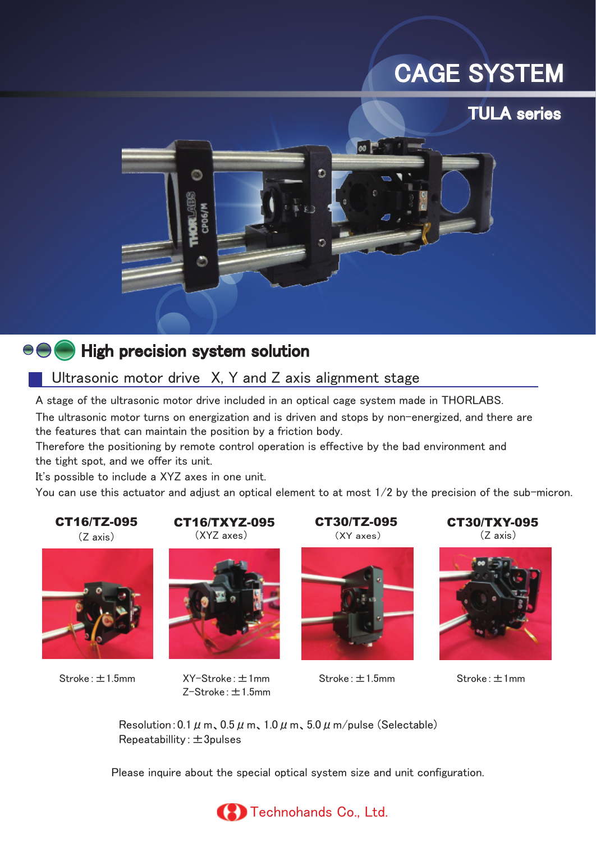# CAGE SYSTEM

# TULA series



# $\Theta \Theta$  High precision system solution

# Ultrasonic motor drive X, Y and Z axis alignment stage

A stage of the ultrasonic motor drive included in an optical cage system made in THORLABS. The ultrasonic motor turns on energization and is driven and stops by non-energized, and there are the features that can maintain the position by a friction body.

Therefore the positioning by remote control operation is effective by the bad environment and the tight spot, and we offer its unit.

It's possible to include a XYZ axes in one unit.

You can use this actuator and adjust an optical element to at most 1/2 by the precision of the sub-micron.



XY-Stroke:±1mm Stroke:±1mm Stroke:±1.5mm Stroke:±1.5mm

(Z axis) (XYZ axes) (XY axes) (Z axis)

Z-Stroke:±1.5mm









Resolution: 0.1  $\mu$  m, 0.5  $\mu$  m, 1.0  $\mu$  m, 5.0  $\mu$  m/pulse (Selectable)  $Repeated$ billity:  $\pm 3$ pulses

Please inquire about the special optical system size and unit configuration.